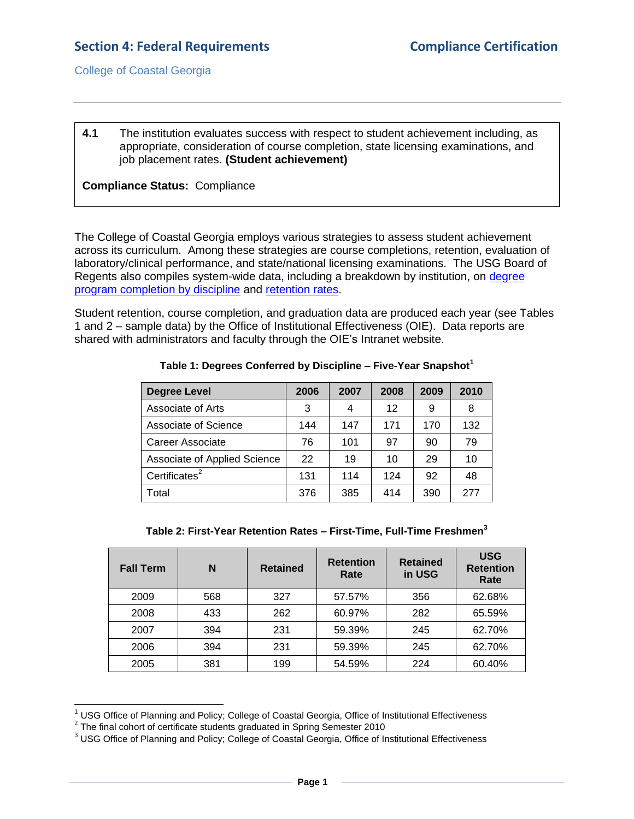#### **4.1** The institution evaluates success with respect to student achievement including, as appropriate, consideration of course completion, state licensing examinations, and job placement rates. **(Student achievement)**

## **Compliance Status:** Compliance

The College of Coastal Georgia employs various strategies to assess student achievement across its curriculum. Among these strategies are course completions, retention, evaluation of laboratory/clinical performance, and state/national licensing examinations. The USG Board of Regents also compiles system-wide data, including a breakdown by institution, on [degree](4.1.aUSGDegreeConferredReports.htm#page=1)  [program completion by discipline](4.1.aUSGDegreeConferredReports.htm#page=1) and [retention rates.](4.1.aUSGRetentionRateReport.pdf#page=1)

Student retention, course completion, and graduation data are produced each year (see Tables 1 and 2 – sample data) by the Office of Institutional Effectiveness (OIE). Data reports are shared with administrators and faculty through the OIE's Intranet website.

| <b>Degree Level</b>          | 2006 | 2007 | 2008 | 2009 | 2010 |
|------------------------------|------|------|------|------|------|
| Associate of Arts            | 3    | 4    | 12   | 9    | 8    |
| Associate of Science         | 144  | 147  | 171  | 170  | 132  |
| Career Associate             | 76   | 101  | 97   | 90   | 79   |
| Associate of Applied Science | 22   | 19   | 10   | 29   | 10   |
| Certificates $2$             | 131  | 114  | 124  | 92   | 48   |
| Total                        | 376  | 385  | 414  | 390  | 277  |

#### **Table 1: Degrees Conferred by Discipline – Five-Year Snapshot<sup>1</sup>**

**Table 2: First-Year Retention Rates – First-Time, Full-Time Freshmen<sup>3</sup>**

| <b>Fall Term</b> | N   | <b>Retained</b> | <b>Retention</b><br>Rate | <b>Retained</b><br>in USG | <b>USG</b><br><b>Retention</b><br>Rate |
|------------------|-----|-----------------|--------------------------|---------------------------|----------------------------------------|
| 2009             | 568 | 327             | 57.57%                   | 356                       | 62.68%                                 |
| 2008             | 433 | 262             | 60.97%                   | 282                       | 65.59%                                 |
| 2007             | 394 | 231             | 59.39%                   | 245                       | 62.70%                                 |
| 2006             | 394 | 231             | 59.39%                   | 245                       | 62.70%                                 |
| 2005             | 381 | 199             | 54.59%                   | 224                       | 60.40%                                 |

<sup>&</sup>lt;sup>1</sup> USG Office of Planning and Policy; College of Coastal Georgia, Office of Institutional Effectiveness

l

 $2$  The final cohort of certificate students graduated in Spring Semester 2010

 $3$  USG Office of Planning and Policy; College of Coastal Georgia, Office of Institutional Effectiveness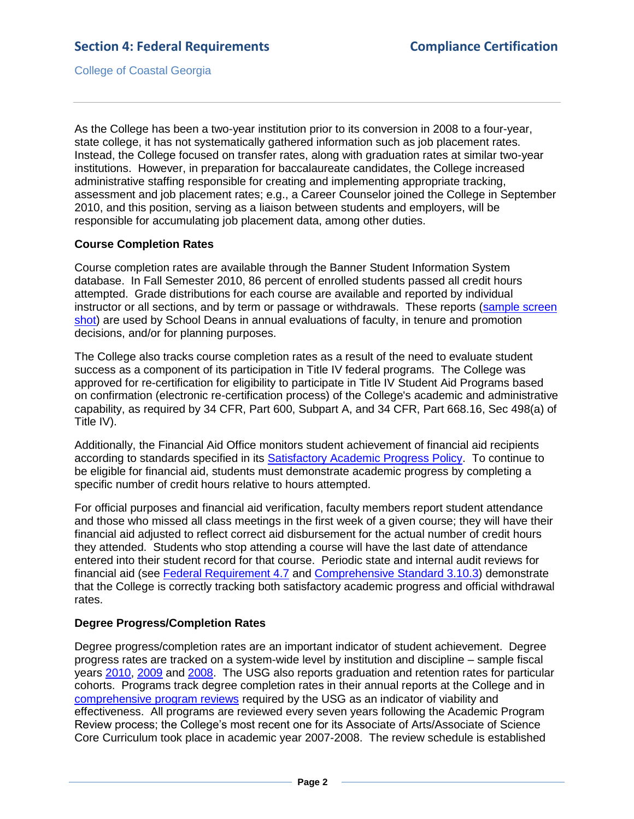As the College has been a two-year institution prior to its conversion in 2008 to a four-year, state college, it has not systematically gathered information such as job placement rates. Instead, the College focused on transfer rates, along with graduation rates at similar two-year institutions. However, in preparation for baccalaureate candidates, the College increased administrative staffing responsible for creating and implementing appropriate tracking, assessment and job placement rates; e.g., a Career Counselor joined the College in September 2010, and this position, serving as a liaison between students and employers, will be responsible for accumulating job placement data, among other duties.

## **Course Completion Rates**

Course completion rates are available through the Banner Student Information System database. In Fall Semester 2010, 86 percent of enrolled students passed all credit hours attempted. Grade distributions for each course are available and reported by individual instructor or all sections, and by term or passage or withdrawals. These reports [\(sample screen](4.1.bGradeDistribution.pdf#page=1)  [shot\)](4.1.bGradeDistribution.pdf#page=1) are used by School Deans in annual evaluations of faculty, in tenure and promotion decisions, and/or for planning purposes.

The College also tracks course completion rates as a result of the need to evaluate student success as a component of its participation in Title IV federal programs. The College was approved for re-certification for eligibility to participate in Title IV Student Aid Programs based on confirmation (electronic re-certification process) of the College's academic and administrative capability, as required by 34 CFR, Part 600, Subpart A, and 34 CFR, Part 668.16, Sec 498(a) of Title IV).

Additionally, the Financial Aid Office monitors student achievement of financial aid recipients according to standards specified in its [Satisfactory Academic Progress Policy.](4.1.dSatisfactoryAcademicProgress.pdf#page=1) To continue to be eligible for financial aid, students must demonstrate academic progress by completing a specific number of credit hours relative to hours attempted.

For official purposes and financial aid verification, faculty members report student attendance and those who missed all class meetings in the first week of a given course; they will have their financial aid adjusted to reflect correct aid disbursement for the actual number of credit hours they attended. Students who stop attending a course will have the last date of attendance entered into their student record for that course. Periodic state and internal audit reviews for financial aid (see [Federal Requirement 4.7](4.7.pdf#page=1) and [Comprehensive Standard 3.10.3\)](3.10.3.pdf#page=1) demonstrate that the College is correctly tracking both satisfactory academic progress and official withdrawal rates.

## **Degree Progress/Completion Rates**

Degree progress/completion rates are an important indicator of student achievement. Degree progress rates are tracked on a system-wide level by institution and discipline – sample fiscal years [2010,](4.1.eUSGdegreeProgress2010.pdf#page=1) [2009](4.1.fUSGdegreeProgress2009.pdf#page=1) and [2008.](4.1.gUSGdegreeProgress2008.pdf#page=1) The USG also reports graduation and retention rates for particular cohorts. Programs track degree completion rates in their annual reports at the College and in [comprehensive program reviews](2.7.1.aUSGAAhandbook2.3.5.pdf#page=3) required by the USG as an indicator of viability and effectiveness. All programs are reviewed every seven years following the Academic Program Review process; the College's most recent one for its Associate of Arts/Associate of Science Core Curriculum took place in academic year 2007-2008. The review schedule is established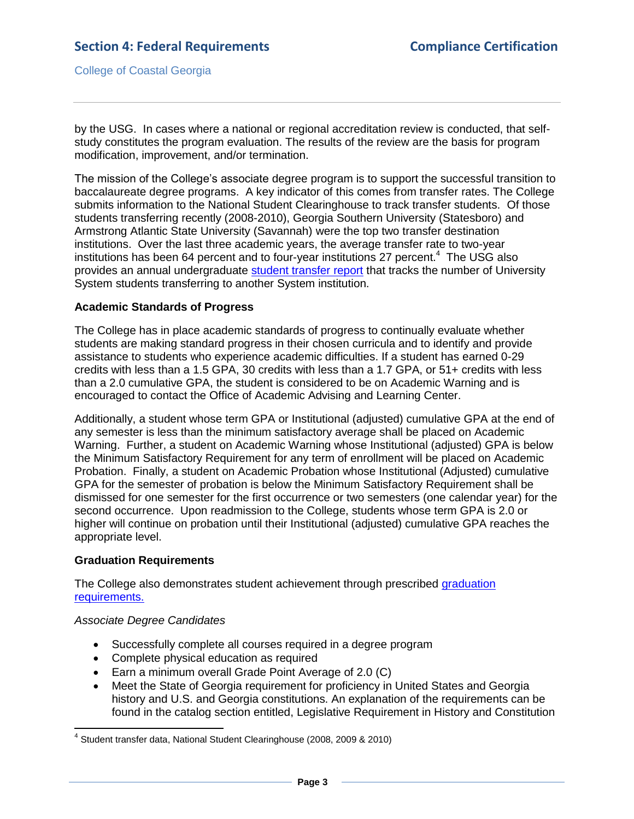by the USG. In cases where a national or regional accreditation review is conducted, that selfstudy constitutes the program evaluation. The results of the review are the basis for program modification, improvement, and/or termination.

The mission of the College's associate degree program is to support the successful transition to baccalaureate degree programs. A key indicator of this comes from transfer rates. The College submits information to the National Student Clearinghouse to track transfer students. Of those students transferring recently (2008-2010), Georgia Southern University (Statesboro) and Armstrong Atlantic State University (Savannah) were the top two transfer destination institutions. Over the last three academic years, the average transfer rate to two-year institutions has been 64 percent and to four-year institutions 27 percent. $4\text{ }$  The USG also provides an annual undergraduate [student transfer report](4.1.iUSGTransferReports.htm#page=1) that tracks the number of University System students transferring to another System institution.

## **Academic Standards of Progress**

The College has in place academic standards of progress to continually evaluate whether students are making standard progress in their chosen curricula and to identify and provide assistance to students who experience academic difficulties. If a student has earned 0-29 credits with less than a 1.5 GPA, 30 credits with less than a 1.7 GPA, or 51+ credits with less than a 2.0 cumulative GPA, the student is considered to be on Academic Warning and is encouraged to contact the Office of Academic Advising and Learning Center.

Additionally, a student whose term GPA or Institutional (adjusted) cumulative GPA at the end of any semester is less than the minimum satisfactory average shall be placed on Academic Warning. Further, a student on Academic Warning whose Institutional (adjusted) GPA is below the Minimum Satisfactory Requirement for any term of enrollment will be placed on Academic Probation. Finally, a student on Academic Probation whose Institutional (Adjusted) cumulative GPA for the semester of probation is below the Minimum Satisfactory Requirement shall be dismissed for one semester for the first occurrence or two semesters (one calendar year) for the second occurrence. Upon readmission to the College, students whose term GPA is 2.0 or higher will continue on probation until their Institutional (adjusted) cumulative GPA reaches the appropriate level.

#### **Graduation Requirements**

The College also demonstrates student achievement through prescribed [graduation](CCGAcatalog.pdf#page=47)  [requirements.](CCGAcatalog.pdf#page=47) 

#### *Associate Degree Candidates*

- Successfully complete all courses required in a degree program
- Complete physical education as required
- Earn a minimum overall Grade Point Average of 2.0 (C)
- Meet the State of Georgia requirement for proficiency in United States and Georgia history and U.S. and Georgia constitutions. An explanation of the requirements can be found in the catalog section entitled, Legislative Requirement in History and Constitution

 4 Student transfer data, National Student Clearinghouse (2008, 2009 & 2010)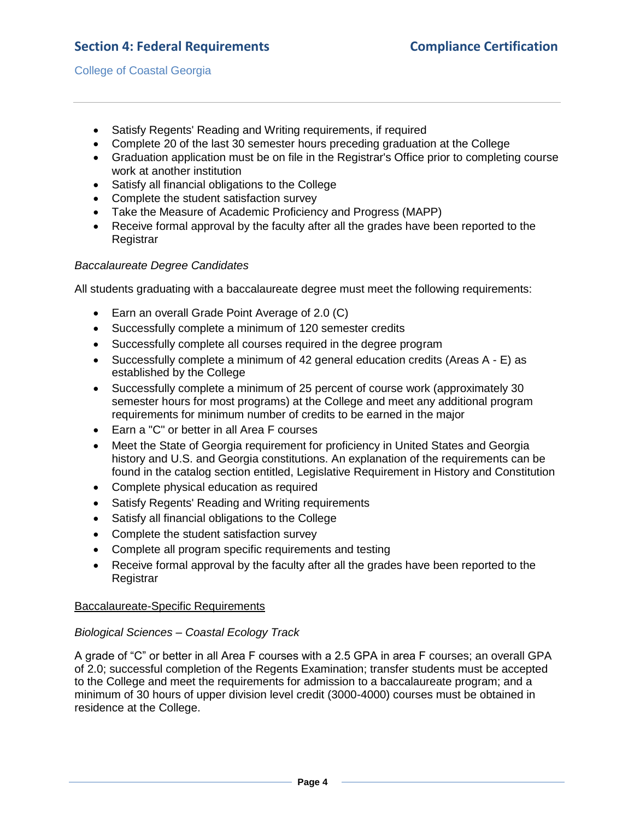## **Section 4: Federal Requirements Compliance Certification**

College of Coastal Georgia

- Satisfy Regents' Reading and Writing requirements, if required
- Complete 20 of the last 30 semester hours preceding graduation at the College
- Graduation application must be on file in the Registrar's Office prior to completing course work at another institution
- Satisfy all financial obligations to the College
- Complete the student satisfaction survey
- Take the Measure of Academic Proficiency and Progress (MAPP)
- Receive formal approval by the faculty after all the grades have been reported to the **Registrar**

## *Baccalaureate Degree Candidates*

All students graduating with a baccalaureate degree must meet the following requirements:

- Earn an overall Grade Point Average of 2.0 (C)
- Successfully complete a minimum of 120 semester credits
- Successfully complete all courses required in the degree program
- Successfully complete a minimum of 42 general education credits (Areas A E) as established by the College
- Successfully complete a minimum of 25 percent of course work (approximately 30 semester hours for most programs) at the College and meet any additional program requirements for minimum number of credits to be earned in the major
- Earn a "C" or better in all Area F courses
- Meet the State of Georgia requirement for proficiency in United States and Georgia history and U.S. and Georgia constitutions. An explanation of the requirements can be found in the catalog section entitled, Legislative Requirement in History and Constitution
- Complete physical education as required
- Satisfy Regents' Reading and Writing requirements
- Satisfy all financial obligations to the College
- Complete the student satisfaction survey
- Complete all program specific requirements and testing
- Receive formal approval by the faculty after all the grades have been reported to the Registrar

## Baccalaureate-Specific Requirements

## *Biological Sciences – Coastal Ecology Track*

A grade of "C" or better in all Area F courses with a 2.5 GPA in area F courses; an overall GPA of 2.0; successful completion of the Regents Examination; transfer students must be accepted to the College and meet the requirements for admission to a baccalaureate program; and a minimum of 30 hours of upper division level credit (3000-4000) courses must be obtained in residence at the College.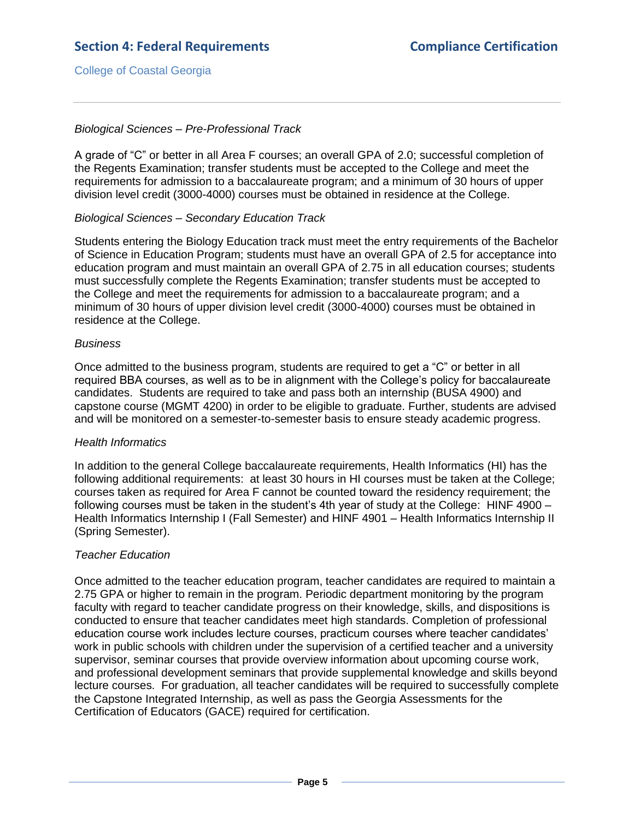## *Biological Sciences – Pre-Professional Track*

A grade of "C" or better in all Area F courses; an overall GPA of 2.0; successful completion of the Regents Examination; transfer students must be accepted to the College and meet the requirements for admission to a baccalaureate program; and a minimum of 30 hours of upper division level credit (3000-4000) courses must be obtained in residence at the College.

#### *Biological Sciences – Secondary Education Track*

Students entering the Biology Education track must meet the entry requirements of the Bachelor of Science in Education Program; students must have an overall GPA of 2.5 for acceptance into education program and must maintain an overall GPA of 2.75 in all education courses; students must successfully complete the Regents Examination; transfer students must be accepted to the College and meet the requirements for admission to a baccalaureate program; and a minimum of 30 hours of upper division level credit (3000-4000) courses must be obtained in residence at the College.

#### *Business*

Once admitted to the business program, students are required to get a "C" or better in all required BBA courses, as well as to be in alignment with the College's policy for baccalaureate candidates. Students are required to take and pass both an internship (BUSA 4900) and capstone course (MGMT 4200) in order to be eligible to graduate. Further, students are advised and will be monitored on a semester-to-semester basis to ensure steady academic progress.

#### *Health Informatics*

In addition to the general College baccalaureate requirements, Health Informatics (HI) has the following additional requirements: at least 30 hours in HI courses must be taken at the College; courses taken as required for Area F cannot be counted toward the residency requirement; the following courses must be taken in the student's 4th year of study at the College: HINF 4900 – Health Informatics Internship I (Fall Semester) and HINF 4901 – Health Informatics Internship II (Spring Semester).

## *Teacher Education*

Once admitted to the teacher education program, teacher candidates are required to maintain a 2.75 GPA or higher to remain in the program. Periodic department monitoring by the program faculty with regard to teacher candidate progress on their knowledge, skills, and dispositions is conducted to ensure that teacher candidates meet high standards. Completion of professional education course work includes lecture courses, practicum courses where teacher candidates' work in public schools with children under the supervision of a certified teacher and a university supervisor, seminar courses that provide overview information about upcoming course work, and professional development seminars that provide supplemental knowledge and skills beyond lecture courses. For graduation, all teacher candidates will be required to successfully complete the Capstone Integrated Internship, as well as pass the Georgia Assessments for the Certification of Educators (GACE) required for certification.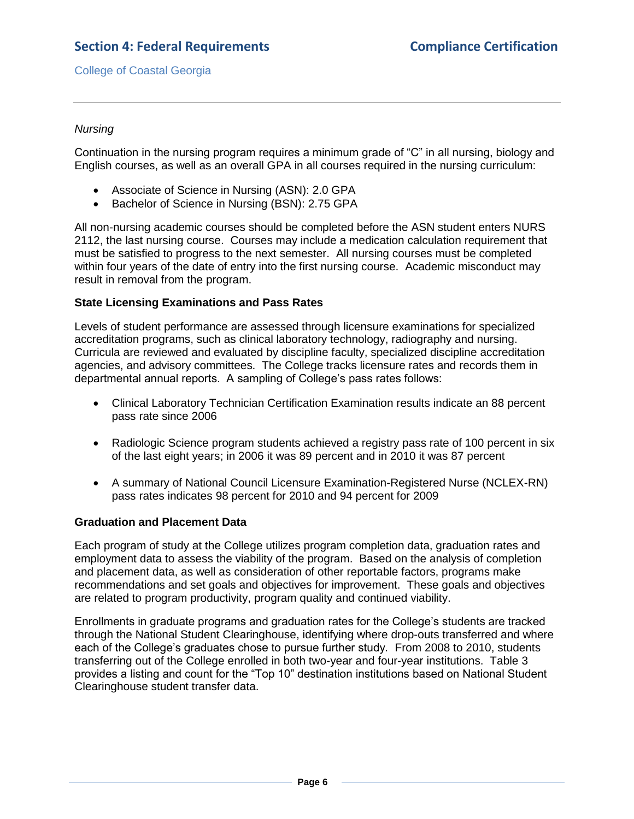## *Nursing*

Continuation in the nursing program requires a minimum grade of "C" in all nursing, biology and English courses, as well as an overall GPA in all courses required in the nursing curriculum:

- Associate of Science in Nursing (ASN): 2.0 GPA
- Bachelor of Science in Nursing (BSN): 2.75 GPA

All non-nursing academic courses should be completed before the ASN student enters NURS 2112, the last nursing course. Courses may include a medication calculation requirement that must be satisfied to progress to the next semester. All nursing courses must be completed within four years of the date of entry into the first nursing course. Academic misconduct may result in removal from the program.

## **State Licensing Examinations and Pass Rates**

Levels of student performance are assessed through licensure examinations for specialized accreditation programs, such as clinical laboratory technology, radiography and nursing. Curricula are reviewed and evaluated by discipline faculty, specialized discipline accreditation agencies, and advisory committees. The College tracks licensure rates and records them in departmental annual reports. A sampling of College's pass rates follows:

- Clinical Laboratory Technician Certification Examination results indicate an 88 percent pass rate since 2006
- Radiologic Science program students achieved a registry pass rate of 100 percent in six of the last eight years; in 2006 it was 89 percent and in 2010 it was 87 percent
- A summary of National Council Licensure Examination-Registered Nurse (NCLEX-RN) pass rates indicates 98 percent for 2010 and 94 percent for 2009

#### **Graduation and Placement Data**

Each program of study at the College utilizes program completion data, graduation rates and employment data to assess the viability of the program. Based on the analysis of completion and placement data, as well as consideration of other reportable factors, programs make recommendations and set goals and objectives for improvement. These goals and objectives are related to program productivity, program quality and continued viability.

Enrollments in graduate programs and graduation rates for the College's students are tracked through the National Student Clearinghouse, identifying where drop-outs transferred and where each of the College's graduates chose to pursue further study*.* From 2008 to 2010, students transferring out of the College enrolled in both two-year and four-year institutions. Table 3 provides a listing and count for the "Top 10" destination institutions based on National Student Clearinghouse student transfer data.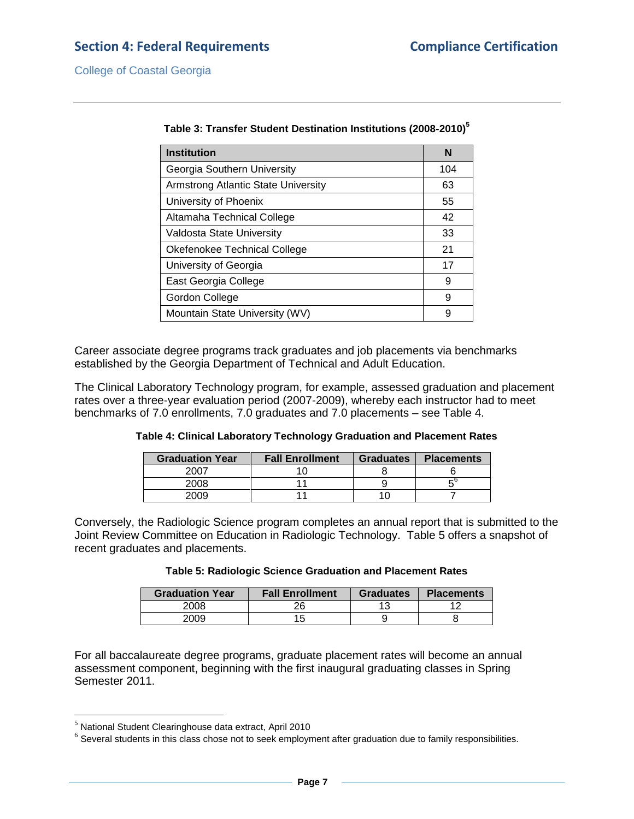# **Section 4: Federal Requirements Compliance Certification**

College of Coastal Georgia

| <b>Institution</b>                  | N   |
|-------------------------------------|-----|
| Georgia Southern University         | 104 |
| Armstrong Atlantic State University | 63  |
| University of Phoenix               | 55  |
| Altamaha Technical College          | 42  |
| Valdosta State University           | 33  |
| Okefenokee Technical College        | 21  |
| University of Georgia               | 17  |
| East Georgia College                | 9   |
| Gordon College                      | 9   |
| Mountain State University (WV)      | 9   |

| Table 3: Transfer Student Destination Institutions (2008-2010) <sup>5</sup> |  |
|-----------------------------------------------------------------------------|--|
|-----------------------------------------------------------------------------|--|

Career associate degree programs track graduates and job placements via benchmarks established by the Georgia Department of Technical and Adult Education.

The Clinical Laboratory Technology program, for example, assessed graduation and placement rates over a three-year evaluation period (2007-2009), whereby each instructor had to meet benchmarks of 7.0 enrollments, 7.0 graduates and 7.0 placements – see Table 4.

| Table 4: Clinical Laboratory Technology Graduation and Placement Rates |  |
|------------------------------------------------------------------------|--|
|------------------------------------------------------------------------|--|

| <b>Graduation Year</b> | <b>Fall Enrollment</b> | <b>Graduates</b> | <b>Placements</b> |
|------------------------|------------------------|------------------|-------------------|
| 2007                   |                        |                  |                   |
| 2008                   |                        |                  |                   |
| 2009                   |                        |                  |                   |

Conversely, the Radiologic Science program completes an annual report that is submitted to the Joint Review Committee on Education in Radiologic Technology. Table 5 offers a snapshot of recent graduates and placements.

| <b>Table 5: Radiologic Science Graduation and Placement Rates</b> |  |  |
|-------------------------------------------------------------------|--|--|
|-------------------------------------------------------------------|--|--|

| <b>Graduation Year</b> | <b>Fall Enrollment</b> | <b>Graduates</b> | <b>Placements</b> |
|------------------------|------------------------|------------------|-------------------|
| 2008                   | 26                     |                  |                   |
| 2009                   | 15                     |                  |                   |

For all baccalaureate degree programs, graduate placement rates will become an annual assessment component, beginning with the first inaugural graduating classes in Spring Semester 2011.

 $\overline{\phantom{a}}$ 

 $<sup>5</sup>$  National Student Clearinghouse data extract, April 2010</sup>

 $^6$  Several students in this class chose not to seek employment after graduation due to family responsibilities.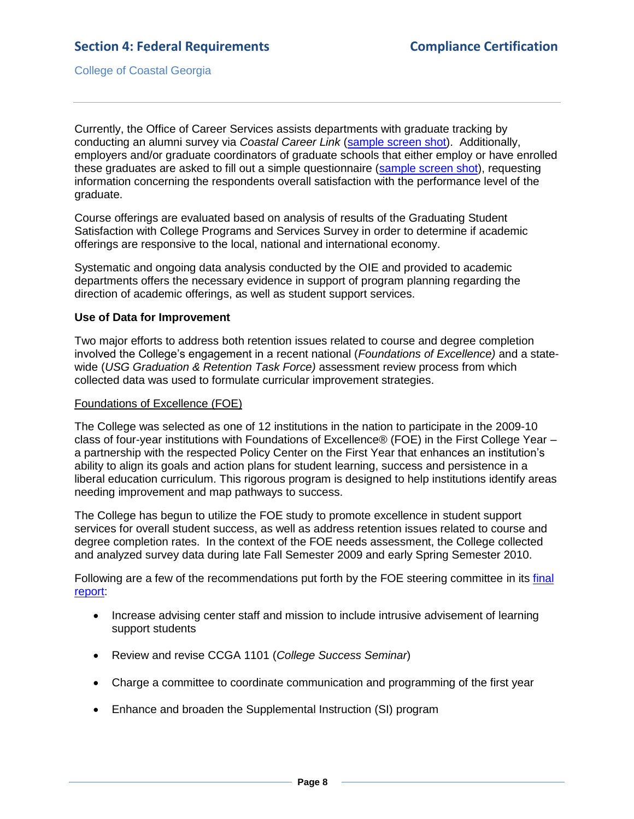Currently, the Office of Career Services assists departments with graduate tracking by conducting an alumni survey via *Coastal Career Link* [\(sample screen shot\)](4.1.lCoastalCareerLink.pdf#page=1). Additionally, employers and/or graduate coordinators of graduate schools that either employ or have enrolled these graduates are asked to fill out a simple questionnaire [\(sample screen shot\)](4.1.mCoastalCareerQuestionnaire.pdf#page=1), requesting information concerning the respondents overall satisfaction with the performance level of the graduate.

Course offerings are evaluated based on analysis of results of the Graduating Student Satisfaction with College Programs and Services Survey in order to determine if academic offerings are responsive to the local, national and international economy.

Systematic and ongoing data analysis conducted by the OIE and provided to academic departments offers the necessary evidence in support of program planning regarding the direction of academic offerings, as well as student support services.

#### **Use of Data for Improvement**

Two major efforts to address both retention issues related to course and degree completion involved the College's engagement in a recent national (*Foundations of Excellence)* and a statewide (*USG Graduation & Retention Task Force)* assessment review process from which collected data was used to formulate curricular improvement strategies.

#### Foundations of Excellence (FOE)

The College was selected as one of 12 institutions in the nation to participate in the 2009-10 class of four-year institutions with Foundations of Excellence® (FOE) in the First College Year – a partnership with the respected Policy Center on the First Year that enhances an institution's ability to align its goals and action plans for student learning, success and persistence in a liberal education curriculum. This rigorous program is designed to help institutions identify areas needing improvement and map pathways to success.

The College has begun to utilize the FOE study to promote excellence in student support services for overall student success, as well as address retention issues related to course and degree completion rates. In the context of the FOE needs assessment, the College collected and analyzed survey data during late Fall Semester 2009 and early Spring Semester 2010.

Following are a few of the recommendations put forth by the FOE steering committee in its [final](FOEfinalreport.pdf#page=1)  [report:](FOEfinalreport.pdf#page=1)

- Increase advising center staff and mission to include intrusive advisement of learning support students
- Review and revise CCGA 1101 (*College Success Seminar*)
- Charge a committee to coordinate communication and programming of the first year
- Enhance and broaden the Supplemental Instruction (SI) program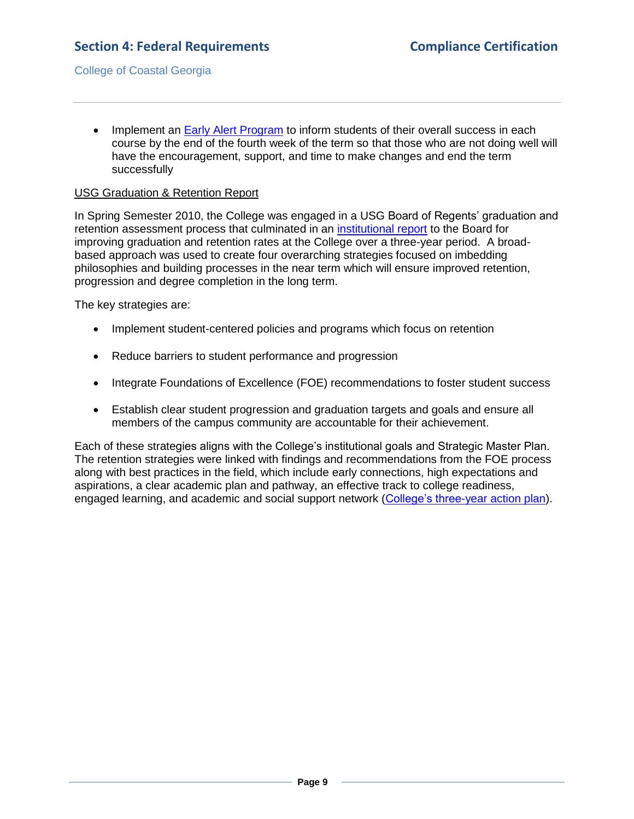• Implement an [Early Alert Program](4.1.oEarlyAlertProgram.pdf#page=1) to inform students of their overall success in each course by the end of the fourth week of the term so that those who are not doing well will have the encouragement, support, and time to make changes and end the term successfully

### USG Graduation & Retention Report

In Spring Semester 2010, the College was engaged in a USG Board of Regents' graduation and retention assessment process that culminated in an [institutional report](2.5.cUSGgrad&retreport.pdf#page=1) to the Board for improving graduation and retention rates at the College over a three-year period. A broadbased approach was used to create four overarching strategies focused on imbedding philosophies and building processes in the near term which will ensure improved retention, progression and degree completion in the long term.

The key strategies are:

- Implement student-centered policies and programs which focus on retention
- Reduce barriers to student performance and progression
- Integrate Foundations of Excellence (FOE) recommendations to foster student success
- Establish clear student progression and graduation targets and goals and ensure all members of the campus community are accountable for their achievement.

Each of these strategies aligns with the College's institutional goals and Strategic Master Plan. The retention strategies were linked with findings and recommendations from the FOE process along with best practices in the field, which include early connections, high expectations and aspirations, a clear academic plan and pathway, an effective track to college readiness, engaged learning, and academic and social support network [\(College's three-year action plan\)](2.5.d3yractionstrategies.pdf#page=1).